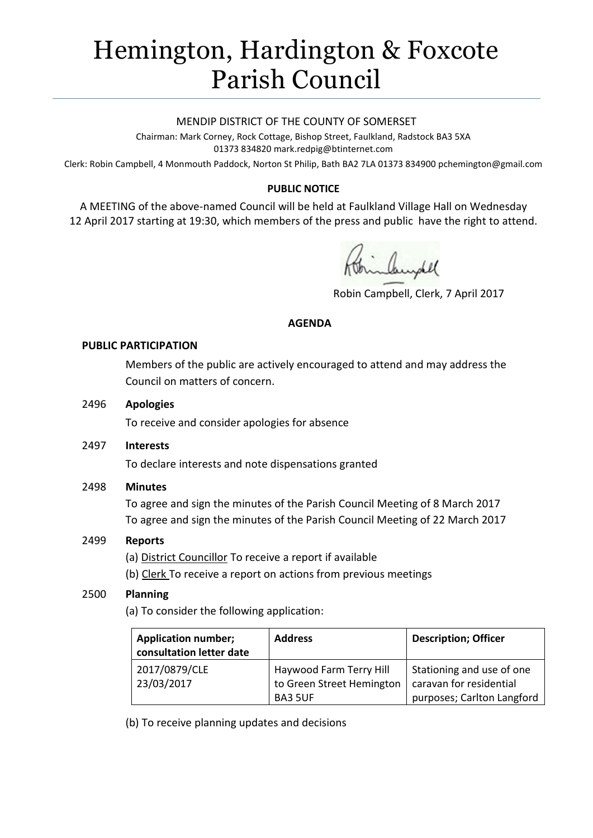# Hemington, Hardington & Foxcote Parish Council

#### MENDIP DISTRICT OF THE COUNTY OF SOMERSET

Chairman: Mark Corney, Rock Cottage, Bishop Street, Faulkland, Radstock BA3 5XA 01373 834820 mark.redpig@btinternet.com

Clerk: Robin Campbell, 4 Monmouth Paddock, Norton St Philip, Bath BA2 7LA 01373 834900 [pchemington@gmail.com](mailto:pchemington@gmail.com)

## **PUBLIC NOTICE**

A MEETING of the above-named Council will be held at Faulkland Village Hall on Wednesday 12 April 2017 starting at 19:30, which members of the press and public have the right to attend.

inhundel

Robin Campbell, Clerk, 7 April 2017

#### **AGENDA**

#### **PUBLIC PARTICIPATION**

Members of the public are actively encouraged to attend and may address the Council on matters of concern.

#### 2496 **Apologies**

To receive and consider apologies for absence

## 2497 **Interests**

To declare interests and note dispensations granted

## 2498 **Minutes**

To agree and sign the minutes of the Parish Council Meeting of 8 March 2017 To agree and sign the minutes of the Parish Council Meeting of 22 March 2017

## 2499 **Reports**

(a) District Councillor To receive a report if available

(b) Clerk To receive a report on actions from previous meetings

## 2500 **Planning**

(a) To consider the following application:

| <b>Application number;</b><br>consultation letter date | <b>Address</b>            | <b>Description; Officer</b> |
|--------------------------------------------------------|---------------------------|-----------------------------|
| 2017/0879/CLE                                          | Haywood Farm Terry Hill   | Stationing and use of one   |
| 23/03/2017                                             | to Green Street Hemington | caravan for residential     |
|                                                        | <b>BA3 5UF</b>            | purposes; Carlton Langford  |

(b) To receive planning updates and decisions